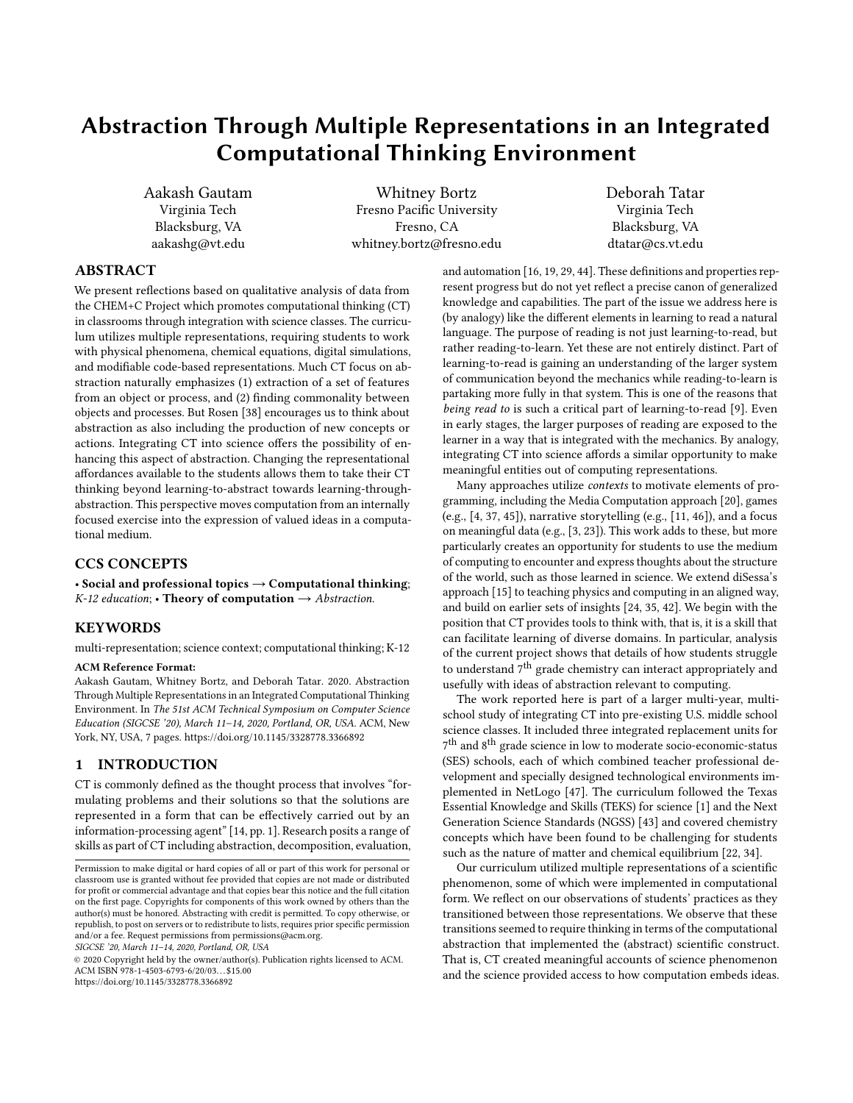# Abstraction Through Multiple Representations in an Integrated Computational Thinking Environment

Aakash Gautam Virginia Tech Blacksburg, VA aakashg@vt.edu

Whitney Bortz Fresno Pacific University Fresno, CA whitney.bortz@fresno.edu Deborah Tatar Virginia Tech Blacksburg, VA dtatar@cs.vt.edu

## ABSTRACT

We present reflections based on qualitative analysis of data from the CHEM+C Project which promotes computational thinking (CT) in classrooms through integration with science classes. The curriculum utilizes multiple representations, requiring students to work with physical phenomena, chemical equations, digital simulations, and modifiable code-based representations. Much CT focus on abstraction naturally emphasizes (1) extraction of a set of features from an object or process, and (2) finding commonality between objects and processes. But Rosen [\[38\]](#page-6-0) encourages us to think about abstraction as also including the production of new concepts or actions. Integrating CT into science offers the possibility of enhancing this aspect of abstraction. Changing the representational affordances available to the students allows them to take their CT thinking beyond learning-to-abstract towards learning-throughabstraction. This perspective moves computation from an internally focused exercise into the expression of valued ideas in a computational medium.

## CCS CONCEPTS

• Social and professional topics  $\rightarrow$  Computational thinking; K-12 education; • Theory of computation  $\rightarrow$  Abstraction.

## **KEYWORDS**

multi-representation; science context; computational thinking; K-12

#### ACM Reference Format:

Aakash Gautam, Whitney Bortz, and Deborah Tatar. 2020. Abstraction Through Multiple Representations in an Integrated Computational Thinking Environment. In The 51st ACM Technical Symposium on Computer Science Education (SIGCSE '20), March 11–14, 2020, Portland, OR, USA. ACM, New York, NY, USA, [7](#page-6-1) pages.<https://doi.org/10.1145/3328778.3366892>

## 1 INTRODUCTION

CT is commonly defined as the thought process that involves "formulating problems and their solutions so that the solutions are represented in a form that can be effectively carried out by an information-processing agent" [\[14,](#page-6-2) pp. 1]. Research posits a range of skills as part of CT including abstraction, decomposition, evaluation,

SIGCSE '20, March 11–14, 2020, Portland, OR, USA

© 2020 Copyright held by the owner/author(s). Publication rights licensed to ACM. ACM ISBN 978-1-4503-6793-6/20/03. . . \$15.00 <https://doi.org/10.1145/3328778.3366892>

and automation [\[16,](#page-6-3) [19,](#page-6-4) [29,](#page-6-5) [44\]](#page-6-6). These definitions and properties represent progress but do not yet reflect a precise canon of generalized knowledge and capabilities. The part of the issue we address here is (by analogy) like the different elements in learning to read a natural language. The purpose of reading is not just learning-to-read, but rather reading-to-learn. Yet these are not entirely distinct. Part of learning-to-read is gaining an understanding of the larger system of communication beyond the mechanics while reading-to-learn is partaking more fully in that system. This is one of the reasons that being read to is such a critical part of learning-to-read [\[9\]](#page-6-7). Even in early stages, the larger purposes of reading are exposed to the learner in a way that is integrated with the mechanics. By analogy, integrating CT into science affords a similar opportunity to make meaningful entities out of computing representations.

Many approaches utilize contexts to motivate elements of programming, including the Media Computation approach [\[20\]](#page-6-8), games (e.g., [\[4,](#page-6-9) [37,](#page-6-10) [45\]](#page-6-11)), narrative storytelling (e.g., [\[11,](#page-6-12) [46\]](#page-6-13)), and a focus on meaningful data (e.g., [\[3,](#page-6-14) [23\]](#page-6-15)). This work adds to these, but more particularly creates an opportunity for students to use the medium of computing to encounter and express thoughts about the structure of the world, such as those learned in science. We extend diSessa's approach [\[15\]](#page-6-16) to teaching physics and computing in an aligned way, and build on earlier sets of insights [\[24,](#page-6-17) [35,](#page-6-18) [42\]](#page-6-19). We begin with the position that CT provides tools to think with, that is, it is a skill that can facilitate learning of diverse domains. In particular, analysis of the current project shows that details of how students struggle to understand  $7<sup>th</sup>$  grade chemistry can interact appropriately and usefully with ideas of abstraction relevant to computing.

The work reported here is part of a larger multi-year, multischool study of integrating CT into pre-existing U.S. middle school science classes. It included three integrated replacement units for  $7^{\rm th}$  and  $8^{\rm th}$  grade science in low to moderate socio-economic-status (SES) schools, each of which combined teacher professional development and specially designed technological environments implemented in NetLogo [\[47\]](#page-6-20). The curriculum followed the Texas Essential Knowledge and Skills (TEKS) for science [\[1\]](#page-6-21) and the Next Generation Science Standards (NGSS) [\[43\]](#page-6-22) and covered chemistry concepts which have been found to be challenging for students such as the nature of matter and chemical equilibrium [\[22,](#page-6-23) [34\]](#page-6-24).

Our curriculum utilized multiple representations of a scientific phenomenon, some of which were implemented in computational form. We reflect on our observations of students' practices as they transitioned between those representations. We observe that these transitions seemed to require thinking in terms of the computational abstraction that implemented the (abstract) scientific construct. That is, CT created meaningful accounts of science phenomenon and the science provided access to how computation embeds ideas.

Permission to make digital or hard copies of all or part of this work for personal or classroom use is granted without fee provided that copies are not made or distributed for profit or commercial advantage and that copies bear this notice and the full citation on the first page. Copyrights for components of this work owned by others than the author(s) must be honored. Abstracting with credit is permitted. To copy otherwise, or republish, to post on servers or to redistribute to lists, requires prior specific permission and/or a fee. Request permissions from permissions@acm.org.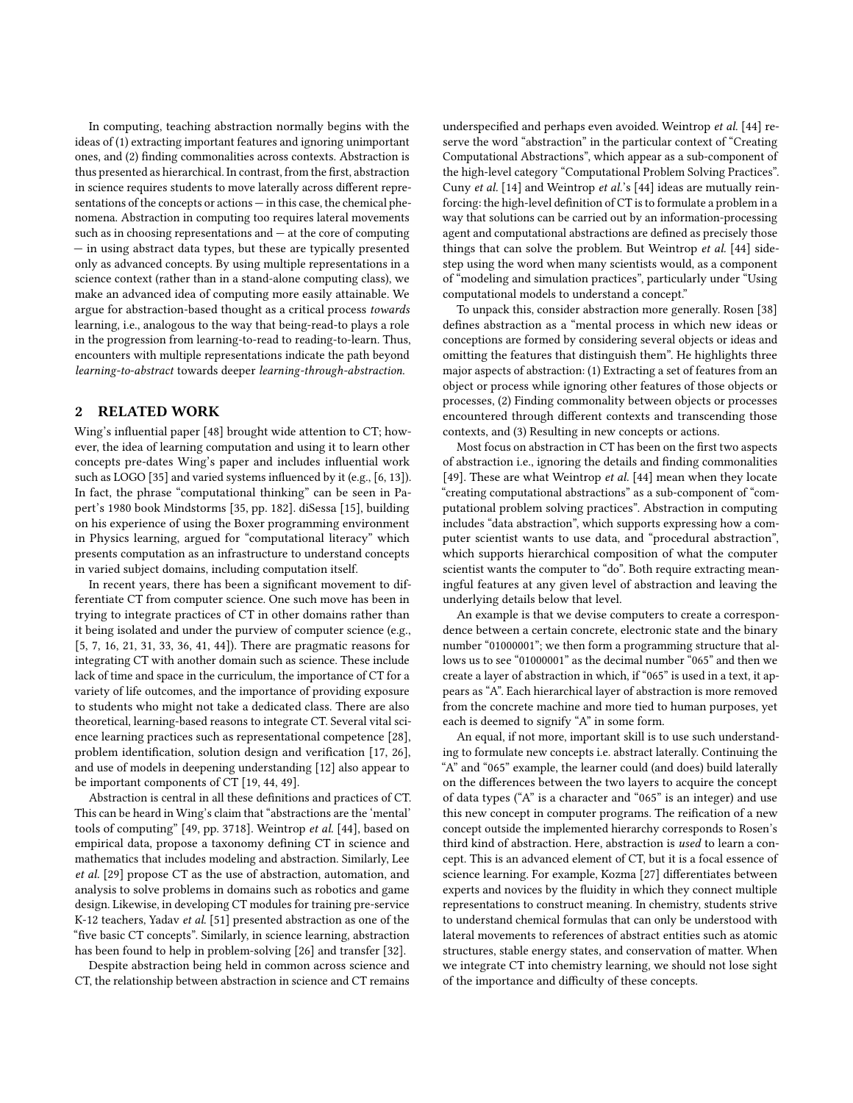In computing, teaching abstraction normally begins with the ideas of (1) extracting important features and ignoring unimportant ones, and (2) finding commonalities across contexts. Abstraction is thus presented as hierarchical. In contrast, from the first, abstraction in science requires students to move laterally across different representations of the concepts or actions — in this case, the chemical phenomena. Abstraction in computing too requires lateral movements such as in choosing representations and — at the core of computing — in using abstract data types, but these are typically presented only as advanced concepts. By using multiple representations in a science context (rather than in a stand-alone computing class), we make an advanced idea of computing more easily attainable. We argue for abstraction-based thought as a critical process towards learning, i.e., analogous to the way that being-read-to plays a role in the progression from learning-to-read to reading-to-learn. Thus, encounters with multiple representations indicate the path beyond learning-to-abstract towards deeper learning-through-abstraction.

## 2 RELATED WORK

Wing's influential paper [\[48\]](#page-6-25) brought wide attention to CT; however, the idea of learning computation and using it to learn other concepts pre-dates Wing's paper and includes influential work such as LOGO [\[35\]](#page-6-18) and varied systems influenced by it (e.g., [\[6,](#page-6-26) [13\]](#page-6-27)). In fact, the phrase "computational thinking" can be seen in Papert's 1980 book Mindstorms [\[35,](#page-6-18) pp. 182]. diSessa [\[15\]](#page-6-16), building on his experience of using the Boxer programming environment in Physics learning, argued for "computational literacy" which presents computation as an infrastructure to understand concepts in varied subject domains, including computation itself.

In recent years, there has been a significant movement to differentiate CT from computer science. One such move has been in trying to integrate practices of CT in other domains rather than it being isolated and under the purview of computer science (e.g., [\[5,](#page-6-28) [7,](#page-6-29) [16,](#page-6-3) [21,](#page-6-30) [31,](#page-6-31) [33,](#page-6-32) [36,](#page-6-33) [41,](#page-6-34) [44\]](#page-6-6)). There are pragmatic reasons for integrating CT with another domain such as science. These include lack of time and space in the curriculum, the importance of CT for a variety of life outcomes, and the importance of providing exposure to students who might not take a dedicated class. There are also theoretical, learning-based reasons to integrate CT. Several vital science learning practices such as representational competence [\[28\]](#page-6-35), problem identification, solution design and verification [\[17,](#page-6-36) [26\]](#page-6-37), and use of models in deepening understanding [\[12\]](#page-6-38) also appear to be important components of CT [\[19,](#page-6-4) [44,](#page-6-6) [49\]](#page-6-39).

Abstraction is central in all these definitions and practices of CT. This can be heard in Wing's claim that "abstractions are the 'mental' tools of computing" [\[49,](#page-6-39) pp. 3718]. Weintrop et al. [\[44\]](#page-6-6), based on empirical data, propose a taxonomy defining CT in science and mathematics that includes modeling and abstraction. Similarly, Lee et al. [\[29\]](#page-6-5) propose CT as the use of abstraction, automation, and analysis to solve problems in domains such as robotics and game design. Likewise, in developing CT modules for training pre-service K-12 teachers, Yadav et al. [\[51\]](#page-6-40) presented abstraction as one of the "five basic CT concepts". Similarly, in science learning, abstraction has been found to help in problem-solving [\[26\]](#page-6-37) and transfer [\[32\]](#page-6-41).

Despite abstraction being held in common across science and CT, the relationship between abstraction in science and CT remains underspecified and perhaps even avoided. Weintrop et al. [\[44\]](#page-6-6) reserve the word "abstraction" in the particular context of "Creating Computational Abstractions", which appear as a sub-component of the high-level category "Computational Problem Solving Practices". Cuny et al. [\[14\]](#page-6-2) and Weintrop et al.'s [\[44\]](#page-6-6) ideas are mutually reinforcing: the high-level definition of CT is to formulate a problem in a way that solutions can be carried out by an information-processing agent and computational abstractions are defined as precisely those things that can solve the problem. But Weintrop et al. [\[44\]](#page-6-6) sidestep using the word when many scientists would, as a component of "modeling and simulation practices", particularly under "Using computational models to understand a concept."

To unpack this, consider abstraction more generally. Rosen [\[38\]](#page-6-0) defines abstraction as a "mental process in which new ideas or conceptions are formed by considering several objects or ideas and omitting the features that distinguish them". He highlights three major aspects of abstraction: (1) Extracting a set of features from an object or process while ignoring other features of those objects or processes, (2) Finding commonality between objects or processes encountered through different contexts and transcending those contexts, and (3) Resulting in new concepts or actions.

Most focus on abstraction in CT has been on the first two aspects of abstraction i.e., ignoring the details and finding commonalities [\[49\]](#page-6-39). These are what Weintrop et al. [\[44\]](#page-6-6) mean when they locate "creating computational abstractions" as a sub-component of "computational problem solving practices". Abstraction in computing includes "data abstraction", which supports expressing how a computer scientist wants to use data, and "procedural abstraction", which supports hierarchical composition of what the computer scientist wants the computer to "do". Both require extracting meaningful features at any given level of abstraction and leaving the underlying details below that level.

An example is that we devise computers to create a correspondence between a certain concrete, electronic state and the binary number "01000001"; we then form a programming structure that allows us to see "01000001" as the decimal number "065" and then we create a layer of abstraction in which, if "065" is used in a text, it appears as "A". Each hierarchical layer of abstraction is more removed from the concrete machine and more tied to human purposes, yet each is deemed to signify "A" in some form.

An equal, if not more, important skill is to use such understanding to formulate new concepts i.e. abstract laterally. Continuing the "A" and "065" example, the learner could (and does) build laterally on the differences between the two layers to acquire the concept of data types ("A" is a character and "065" is an integer) and use this new concept in computer programs. The reification of a new concept outside the implemented hierarchy corresponds to Rosen's third kind of abstraction. Here, abstraction is used to learn a concept. This is an advanced element of CT, but it is a focal essence of science learning. For example, Kozma [\[27\]](#page-6-42) differentiates between experts and novices by the fluidity in which they connect multiple representations to construct meaning. In chemistry, students strive to understand chemical formulas that can only be understood with lateral movements to references of abstract entities such as atomic structures, stable energy states, and conservation of matter. When we integrate CT into chemistry learning, we should not lose sight of the importance and difficulty of these concepts.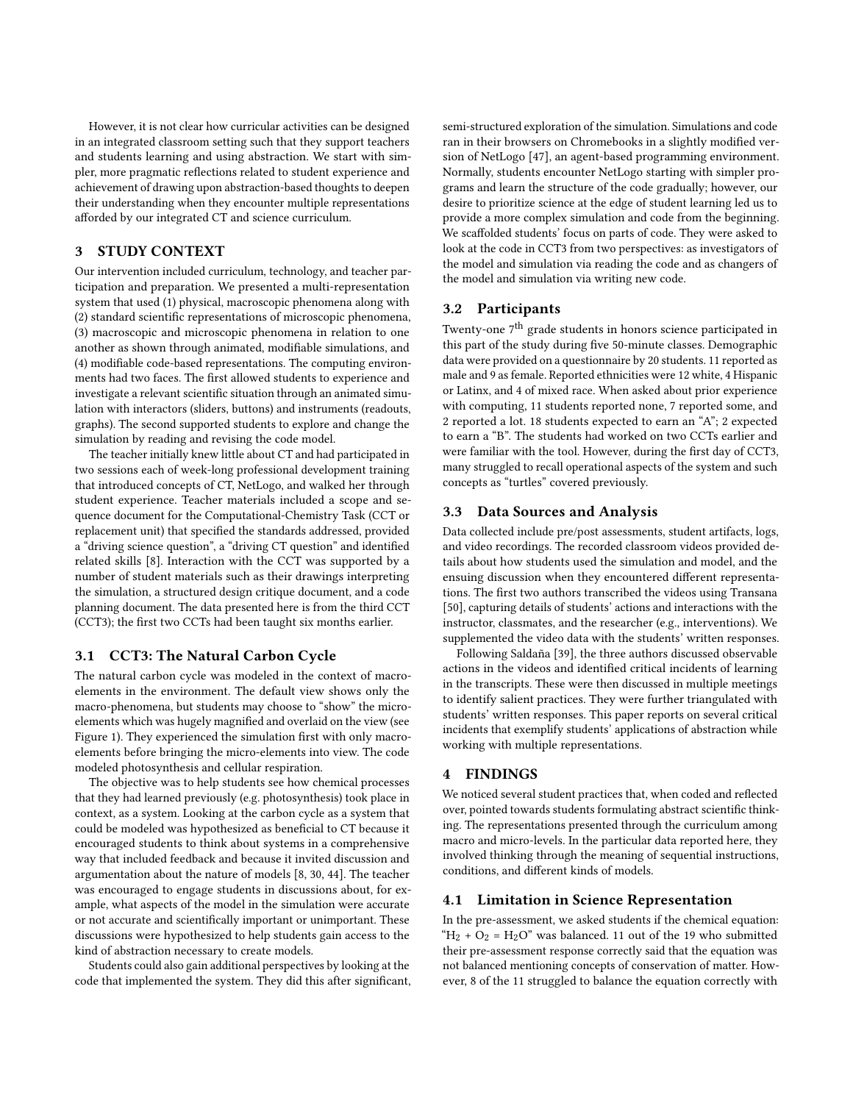However, it is not clear how curricular activities can be designed in an integrated classroom setting such that they support teachers and students learning and using abstraction. We start with simpler, more pragmatic reflections related to student experience and achievement of drawing upon abstraction-based thoughts to deepen their understanding when they encounter multiple representations afforded by our integrated CT and science curriculum.

## 3 STUDY CONTEXT

Our intervention included curriculum, technology, and teacher participation and preparation. We presented a multi-representation system that used (1) physical, macroscopic phenomena along with (2) standard scientific representations of microscopic phenomena, (3) macroscopic and microscopic phenomena in relation to one another as shown through animated, modifiable simulations, and (4) modifiable code-based representations. The computing environments had two faces. The first allowed students to experience and investigate a relevant scientific situation through an animated simulation with interactors (sliders, buttons) and instruments (readouts, graphs). The second supported students to explore and change the simulation by reading and revising the code model.

The teacher initially knew little about CT and had participated in two sessions each of week-long professional development training that introduced concepts of CT, NetLogo, and walked her through student experience. Teacher materials included a scope and sequence document for the Computational-Chemistry Task (CCT or replacement unit) that specified the standards addressed, provided a "driving science question", a "driving CT question" and identified related skills [\[8\]](#page-6-43). Interaction with the CCT was supported by a number of student materials such as their drawings interpreting the simulation, a structured design critique document, and a code planning document. The data presented here is from the third CCT (CCT3); the first two CCTs had been taught six months earlier.

### 3.1 CCT3: The Natural Carbon Cycle

The natural carbon cycle was modeled in the context of macroelements in the environment. The default view shows only the macro-phenomena, but students may choose to "show" the microelements which was hugely magnified and overlaid on the view (see Figure [1\)](#page-3-0). They experienced the simulation first with only macroelements before bringing the micro-elements into view. The code modeled photosynthesis and cellular respiration.

The objective was to help students see how chemical processes that they had learned previously (e.g. photosynthesis) took place in context, as a system. Looking at the carbon cycle as a system that could be modeled was hypothesized as beneficial to CT because it encouraged students to think about systems in a comprehensive way that included feedback and because it invited discussion and argumentation about the nature of models [\[8,](#page-6-43) [30,](#page-6-44) [44\]](#page-6-6). The teacher was encouraged to engage students in discussions about, for example, what aspects of the model in the simulation were accurate or not accurate and scientifically important or unimportant. These discussions were hypothesized to help students gain access to the kind of abstraction necessary to create models.

Students could also gain additional perspectives by looking at the code that implemented the system. They did this after significant, semi-structured exploration of the simulation. Simulations and code ran in their browsers on Chromebooks in a slightly modified version of NetLogo [\[47\]](#page-6-20), an agent-based programming environment. Normally, students encounter NetLogo starting with simpler programs and learn the structure of the code gradually; however, our desire to prioritize science at the edge of student learning led us to provide a more complex simulation and code from the beginning. We scaffolded students' focus on parts of code. They were asked to look at the code in CCT3 from two perspectives: as investigators of the model and simulation via reading the code and as changers of the model and simulation via writing new code.

### 3.2 Participants

Twenty-one 7<sup>th</sup> grade students in honors science participated in this part of the study during five 50-minute classes. Demographic data were provided on a questionnaire by 20 students. 11 reported as male and 9 as female. Reported ethnicities were 12 white, 4 Hispanic or Latinx, and 4 of mixed race. When asked about prior experience with computing, 11 students reported none, 7 reported some, and 2 reported a lot. 18 students expected to earn an "A"; 2 expected to earn a "B". The students had worked on two CCTs earlier and were familiar with the tool. However, during the first day of CCT3, many struggled to recall operational aspects of the system and such concepts as "turtles" covered previously.

### 3.3 Data Sources and Analysis

Data collected include pre/post assessments, student artifacts, logs, and video recordings. The recorded classroom videos provided details about how students used the simulation and model, and the ensuing discussion when they encountered different representations. The first two authors transcribed the videos using Transana [\[50\]](#page-6-45), capturing details of students' actions and interactions with the instructor, classmates, and the researcher (e.g., interventions). We supplemented the video data with the students' written responses.

Following Saldaña [\[39\]](#page-6-46), the three authors discussed observable actions in the videos and identified critical incidents of learning in the transcripts. These were then discussed in multiple meetings to identify salient practices. They were further triangulated with students' written responses. This paper reports on several critical incidents that exemplify students' applications of abstraction while working with multiple representations.

## 4 FINDINGS

We noticed several student practices that, when coded and reflected over, pointed towards students formulating abstract scientific thinking. The representations presented through the curriculum among macro and micro-levels. In the particular data reported here, they involved thinking through the meaning of sequential instructions, conditions, and different kinds of models.

#### 4.1 Limitation in Science Representation

In the pre-assessment, we asked students if the chemical equation: " $H_2 + O_2 = H_2O$ " was balanced. 11 out of the 19 who submitted their pre-assessment response correctly said that the equation was not balanced mentioning concepts of conservation of matter. However, 8 of the 11 struggled to balance the equation correctly with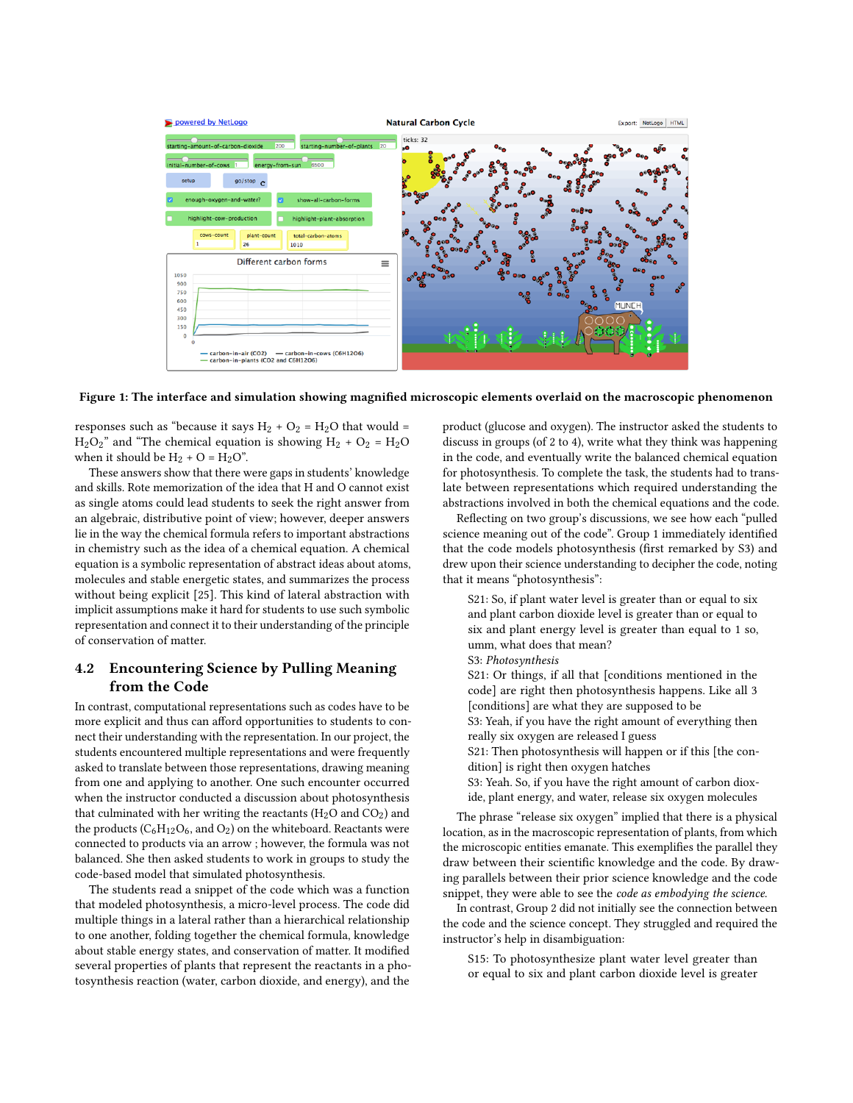<span id="page-3-0"></span>

Figure 1: The interface and simulation showing magnified microscopic elements overlaid on the macroscopic phenomenon

responses such as "because it says  $H_2 + O_2 = H_2O$  that would =  $H_2O_2$ " and "The chemical equation is showing  $H_2 + O_2 = H_2O$ when it should be  $H_2 + O = H_2O$ ".

These answers show that there were gaps in students' knowledge and skills. Rote memorization of the idea that H and O cannot exist as single atoms could lead students to seek the right answer from an algebraic, distributive point of view; however, deeper answers lie in the way the chemical formula refers to important abstractions in chemistry such as the idea of a chemical equation. A chemical equation is a symbolic representation of abstract ideas about atoms, molecules and stable energetic states, and summarizes the process without being explicit [\[25\]](#page-6-47). This kind of lateral abstraction with implicit assumptions make it hard for students to use such symbolic representation and connect it to their understanding of the principle of conservation of matter.

## 4.2 Encountering Science by Pulling Meaning from the Code

In contrast, computational representations such as codes have to be more explicit and thus can afford opportunities to students to connect their understanding with the representation. In our project, the students encountered multiple representations and were frequently asked to translate between those representations, drawing meaning from one and applying to another. One such encounter occurred when the instructor conducted a discussion about photosynthesis that culminated with her writing the reactants ( $H_2O$  and  $CO_2$ ) and the products ( $C_6H_{12}O_6$ , and  $O_2$ ) on the whiteboard. Reactants were connected to products via an arrow ; however, the formula was not balanced. She then asked students to work in groups to study the code-based model that simulated photosynthesis.

The students read a snippet of the code which was a function that modeled photosynthesis, a micro-level process. The code did multiple things in a lateral rather than a hierarchical relationship to one another, folding together the chemical formula, knowledge about stable energy states, and conservation of matter. It modified several properties of plants that represent the reactants in a photosynthesis reaction (water, carbon dioxide, and energy), and the

product (glucose and oxygen). The instructor asked the students to discuss in groups (of 2 to 4), write what they think was happening in the code, and eventually write the balanced chemical equation for photosynthesis. To complete the task, the students had to translate between representations which required understanding the abstractions involved in both the chemical equations and the code.

Reflecting on two group's discussions, we see how each "pulled science meaning out of the code". Group 1 immediately identified that the code models photosynthesis (first remarked by S3) and drew upon their science understanding to decipher the code, noting that it means "photosynthesis":

S21: So, if plant water level is greater than or equal to six and plant carbon dioxide level is greater than or equal to six and plant energy level is greater than equal to 1 so, umm, what does that mean?

- S3: Photosynthesis
- S21: Or things, if all that [conditions mentioned in the code] are right then photosynthesis happens. Like all 3 [conditions] are what they are supposed to be
- S3: Yeah, if you have the right amount of everything then really six oxygen are released I guess
- S21: Then photosynthesis will happen or if this [the condition] is right then oxygen hatches
- S3: Yeah. So, if you have the right amount of carbon dioxide, plant energy, and water, release six oxygen molecules

The phrase "release six oxygen" implied that there is a physical location, as in the macroscopic representation of plants, from which the microscopic entities emanate. This exemplifies the parallel they draw between their scientific knowledge and the code. By drawing parallels between their prior science knowledge and the code snippet, they were able to see the code as embodying the science.

In contrast, Group 2 did not initially see the connection between the code and the science concept. They struggled and required the instructor's help in disambiguation:

S15: To photosynthesize plant water level greater than or equal to six and plant carbon dioxide level is greater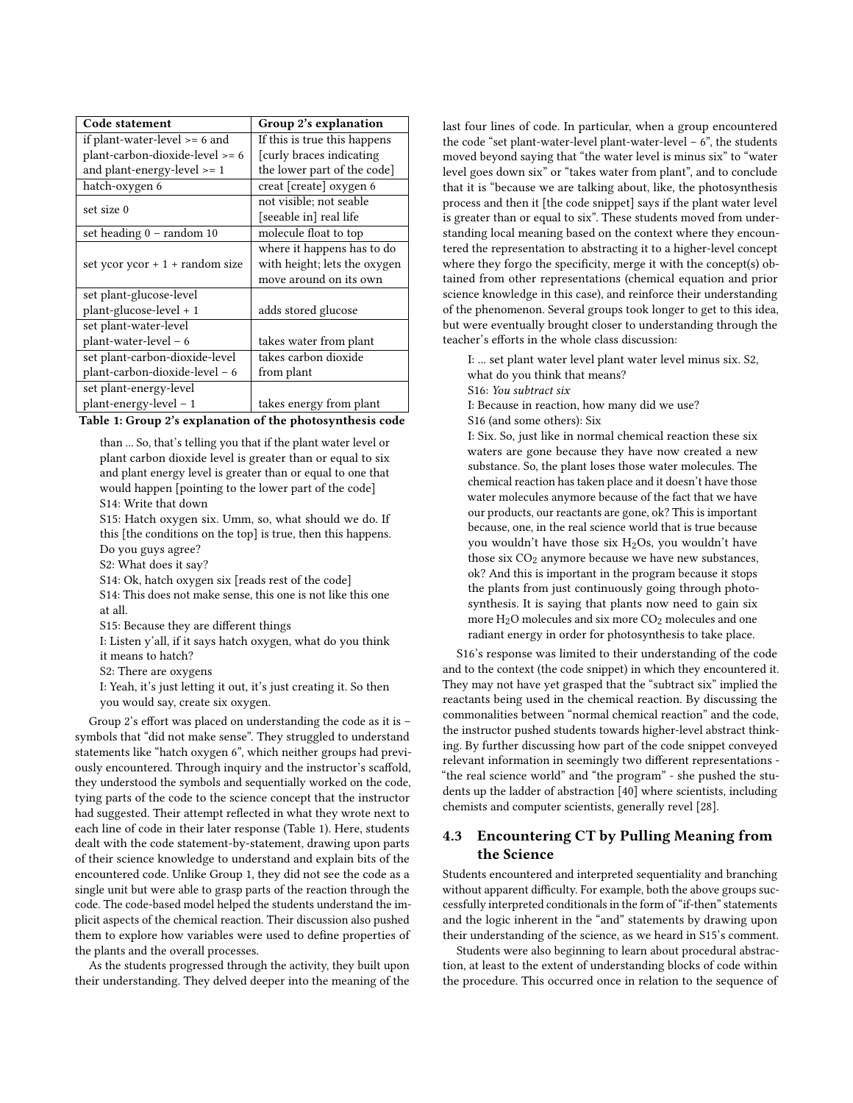<span id="page-4-0"></span>

| Code statement                    | Group 2's explanation        |
|-----------------------------------|------------------------------|
| if plant-water-level $>= 6$ and   | If this is true this happens |
| plant-carbon-dioxide-level >= 6   | [curly braces indicating]    |
| and plant-energy-level >= 1       | the lower part of the code]  |
| hatch-oxygen 6                    | creat [create] oxygen 6      |
| set size 0                        | not visible; not seable      |
|                                   | [seeable in] real life       |
| set heading 0 - random 10         | molecule float to top        |
| set ycor $ycor + 1 + random size$ | where it happens has to do   |
|                                   | with height; lets the oxygen |
|                                   | move around on its own       |
| set plant-glucose-level           |                              |
| plant-glucose-level + 1           | adds stored glucose          |
| set plant-water-level             |                              |
| $plant-water-level - 6$           | takes water from plant       |
| set plant-carbon-dioxide-level    | takes carbon dioxide         |
| plant-carbon-dioxide-level - 6    | from plant                   |
| set plant-energy-level            |                              |
| plant-energy-level - 1            | takes energy from plant      |

than ... So, that's telling you that if the plant water level or plant carbon dioxide level is greater than or equal to six and plant energy level is greater than or equal to one that would happen [pointing to the lower part of the code] S14: Write that down

S15: Hatch oxygen six. Umm, so, what should we do. If this [the conditions on the top] is true, then this happens. Do you guys agree?

S2: What does it say?

S14: Ok, hatch oxygen six [reads rest of the code]

S14: This does not make sense, this one is not like this one at all.

S15: Because they are different things

I: Listen y'all, if it says hatch oxygen, what do you think it means to hatch?

S2: There are oxygens

I: Yeah, it's just letting it out, it's just creating it. So then you would say, create six oxygen.

Group 2's effort was placed on understanding the code as it is – symbols that "did not make sense". They struggled to understand statements like "hatch oxygen 6", which neither groups had previously encountered. Through inquiry and the instructor's scaffold, they understood the symbols and sequentially worked on the code, tying parts of the code to the science concept that the instructor had suggested. Their attempt reflected in what they wrote next to each line of code in their later response (Table [1\)](#page-4-0). Here, students dealt with the code statement-by-statement, drawing upon parts of their science knowledge to understand and explain bits of the encountered code. Unlike Group 1, they did not see the code as a single unit but were able to grasp parts of the reaction through the code. The code-based model helped the students understand the implicit aspects of the chemical reaction. Their discussion also pushed them to explore how variables were used to define properties of the plants and the overall processes.

As the students progressed through the activity, they built upon their understanding. They delved deeper into the meaning of the last four lines of code. In particular, when a group encountered the code "set plant-water-level plant-water-level  $-6$ ", the students moved beyond saying that "the water level is minus six" to "water level goes down six" or "takes water from plant", and to conclude that it is "because we are talking about, like, the photosynthesis process and then it [the code snippet] says if the plant water level is greater than or equal to six". These students moved from understanding local meaning based on the context where they encountered the representation to abstracting it to a higher-level concept where they forgo the specificity, merge it with the concept(s) obtained from other representations (chemical equation and prior science knowledge in this case), and reinforce their understanding of the phenomenon. Several groups took longer to get to this idea, but were eventually brought closer to understanding through the teacher's efforts in the whole class discussion:

I: ... set plant water level plant water level minus six. S2,

what do you think that means?

S16: You subtract six

I: Because in reaction, how many did we use?

S16 (and some others): Six

I: Six. So, just like in normal chemical reaction these six waters are gone because they have now created a new substance. So, the plant loses those water molecules. The chemical reaction has taken place and it doesn't have those water molecules anymore because of the fact that we have our products, our reactants are gone, ok? This is important because, one, in the real science world that is true because you wouldn't have those six  $H_2Os$ , you wouldn't have those six  $CO<sub>2</sub>$  anymore because we have new substances, ok? And this is important in the program because it stops the plants from just continuously going through photosynthesis. It is saying that plants now need to gain six more  $H_2O$  molecules and six more  $CO_2$  molecules and one radiant energy in order for photosynthesis to take place.

S16's response was limited to their understanding of the code and to the context (the code snippet) in which they encountered it. They may not have yet grasped that the "subtract six" implied the reactants being used in the chemical reaction. By discussing the commonalities between "normal chemical reaction" and the code, the instructor pushed students towards higher-level abstract thinking. By further discussing how part of the code snippet conveyed relevant information in seemingly two different representations - "the real science world" and "the program" - she pushed the students up the ladder of abstraction [\[40\]](#page-6-48) where scientists, including chemists and computer scientists, generally revel [\[28\]](#page-6-35).

## 4.3 Encountering CT by Pulling Meaning from the Science

Students encountered and interpreted sequentiality and branching without apparent difficulty. For example, both the above groups successfully interpreted conditionals in the form of "if-then" statements and the logic inherent in the "and" statements by drawing upon their understanding of the science, as we heard in S15's comment.

Students were also beginning to learn about procedural abstraction, at least to the extent of understanding blocks of code within the procedure. This occurred once in relation to the sequence of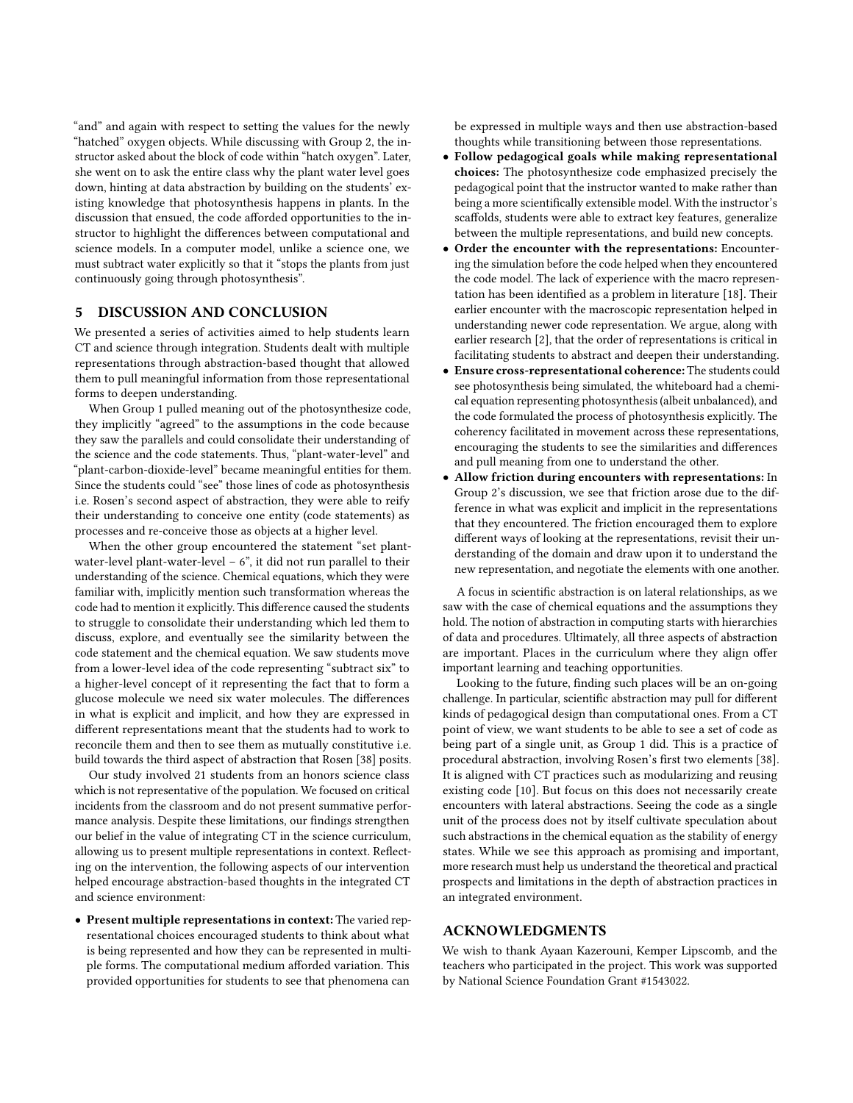"and" and again with respect to setting the values for the newly "hatched" oxygen objects. While discussing with Group 2, the instructor asked about the block of code within "hatch oxygen". Later, she went on to ask the entire class why the plant water level goes down, hinting at data abstraction by building on the students' existing knowledge that photosynthesis happens in plants. In the discussion that ensued, the code afforded opportunities to the instructor to highlight the differences between computational and science models. In a computer model, unlike a science one, we must subtract water explicitly so that it "stops the plants from just continuously going through photosynthesis".

## 5 DISCUSSION AND CONCLUSION

We presented a series of activities aimed to help students learn CT and science through integration. Students dealt with multiple representations through abstraction-based thought that allowed them to pull meaningful information from those representational forms to deepen understanding.

When Group 1 pulled meaning out of the photosynthesize code, they implicitly "agreed" to the assumptions in the code because they saw the parallels and could consolidate their understanding of the science and the code statements. Thus, "plant-water-level" and "plant-carbon-dioxide-level" became meaningful entities for them. Since the students could "see" those lines of code as photosynthesis i.e. Rosen's second aspect of abstraction, they were able to reify their understanding to conceive one entity (code statements) as processes and re-conceive those as objects at a higher level.

When the other group encountered the statement "set plantwater-level plant-water-level  $-6$ ", it did not run parallel to their understanding of the science. Chemical equations, which they were familiar with, implicitly mention such transformation whereas the code had to mention it explicitly. This difference caused the students to struggle to consolidate their understanding which led them to discuss, explore, and eventually see the similarity between the code statement and the chemical equation. We saw students move from a lower-level idea of the code representing "subtract six" to a higher-level concept of it representing the fact that to form a glucose molecule we need six water molecules. The differences in what is explicit and implicit, and how they are expressed in different representations meant that the students had to work to reconcile them and then to see them as mutually constitutive i.e. build towards the third aspect of abstraction that Rosen [\[38\]](#page-6-0) posits.

Our study involved 21 students from an honors science class which is not representative of the population. We focused on critical incidents from the classroom and do not present summative performance analysis. Despite these limitations, our findings strengthen our belief in the value of integrating CT in the science curriculum, allowing us to present multiple representations in context. Reflecting on the intervention, the following aspects of our intervention helped encourage abstraction-based thoughts in the integrated CT and science environment:

• Present multiple representations in context: The varied representational choices encouraged students to think about what is being represented and how they can be represented in multiple forms. The computational medium afforded variation. This provided opportunities for students to see that phenomena can

be expressed in multiple ways and then use abstraction-based thoughts while transitioning between those representations.

- Follow pedagogical goals while making representational choices: The photosynthesize code emphasized precisely the pedagogical point that the instructor wanted to make rather than being a more scientifically extensible model. With the instructor's scaffolds, students were able to extract key features, generalize between the multiple representations, and build new concepts.
- Order the encounter with the representations: Encountering the simulation before the code helped when they encountered the code model. The lack of experience with the macro representation has been identified as a problem in literature [\[18\]](#page-6-49). Their earlier encounter with the macroscopic representation helped in understanding newer code representation. We argue, along with earlier research [\[2\]](#page-6-50), that the order of representations is critical in facilitating students to abstract and deepen their understanding.
- Ensure cross-representational coherence: The students could see photosynthesis being simulated, the whiteboard had a chemical equation representing photosynthesis (albeit unbalanced), and the code formulated the process of photosynthesis explicitly. The coherency facilitated in movement across these representations, encouraging the students to see the similarities and differences and pull meaning from one to understand the other.
- Allow friction during encounters with representations: In Group 2's discussion, we see that friction arose due to the difference in what was explicit and implicit in the representations that they encountered. The friction encouraged them to explore different ways of looking at the representations, revisit their understanding of the domain and draw upon it to understand the new representation, and negotiate the elements with one another.

A focus in scientific abstraction is on lateral relationships, as we saw with the case of chemical equations and the assumptions they hold. The notion of abstraction in computing starts with hierarchies of data and procedures. Ultimately, all three aspects of abstraction are important. Places in the curriculum where they align offer important learning and teaching opportunities.

Looking to the future, finding such places will be an on-going challenge. In particular, scientific abstraction may pull for different kinds of pedagogical design than computational ones. From a CT point of view, we want students to be able to see a set of code as being part of a single unit, as Group 1 did. This is a practice of procedural abstraction, involving Rosen's first two elements [\[38\]](#page-6-0). It is aligned with CT practices such as modularizing and reusing existing code [\[10\]](#page-6-51). But focus on this does not necessarily create encounters with lateral abstractions. Seeing the code as a single unit of the process does not by itself cultivate speculation about such abstractions in the chemical equation as the stability of energy states. While we see this approach as promising and important, more research must help us understand the theoretical and practical prospects and limitations in the depth of abstraction practices in an integrated environment.

### ACKNOWLEDGMENTS

We wish to thank Ayaan Kazerouni, Kemper Lipscomb, and the teachers who participated in the project. This work was supported by National Science Foundation Grant #1543022.